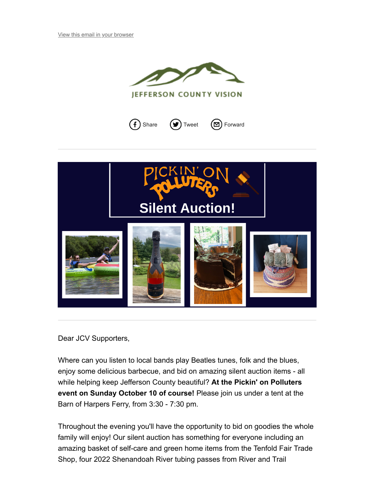







Dear JCV Supporters,

Where can you listen to local bands play Beatles tunes, folk and the blues, enjoy some delicious barbecue, and bid on amazing silent auction items - all while helping keep Jefferson County beautiful? **At the Pickin' on Polluters event on Sunday October 10 of course!** Please join us under a tent at the Barn of Harpers Ferry, from 3:30 - 7:30 pm.

Throughout the evening you'll have the opportunity to bid on goodies the whole family will enjoy! Our silent auction has something for everyone including an amazing basket of self-care and green home items from the Tenfold Fair Trade Shop, four 2022 Shenandoah River tubing passes from River and Trail